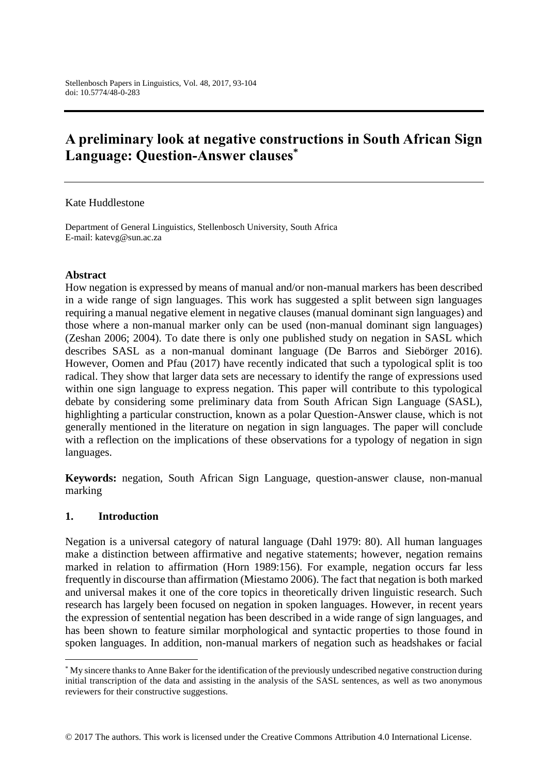# **A preliminary look at negative constructions in South African Sign Language: Question-Answer clauses\***

#### Kate Huddlestone

Department of General Linguistics, Stellenbosch University, South Africa E-mail: katevg@sun.ac.za

#### **Abstract**

How negation is expressed by means of manual and/or non-manual markers has been described in a wide range of sign languages. This work has suggested a split between sign languages requiring a manual negative element in negative clauses (manual dominant sign languages) and those where a non-manual marker only can be used (non-manual dominant sign languages) (Zeshan 2006; 2004). To date there is only one published study on negation in SASL which describes SASL as a non-manual dominant language (De Barros and Siebörger 2016). However, Oomen and Pfau (2017) have recently indicated that such a typological split is too radical. They show that larger data sets are necessary to identify the range of expressions used within one sign language to express negation. This paper will contribute to this typological debate by considering some preliminary data from South African Sign Language (SASL), highlighting a particular construction, known as a polar Question-Answer clause, which is not generally mentioned in the literature on negation in sign languages. The paper will conclude with a reflection on the implications of these observations for a typology of negation in sign languages.

**Keywords:** negation, South African Sign Language, question-answer clause, non-manual marking

#### **1. Introduction**

 $\overline{a}$ 

Negation is a universal category of natural language (Dahl 1979: 80). All human languages make a distinction between affirmative and negative statements; however, negation remains marked in relation to affirmation (Horn 1989:156). For example, negation occurs far less frequently in discourse than affirmation (Miestamo 2006). The fact that negation is both marked and universal makes it one of the core topics in theoretically driven linguistic research. Such research has largely been focused on negation in spoken languages. However, in recent years the expression of sentential negation has been described in a wide range of sign languages, and has been shown to feature similar morphological and syntactic properties to those found in spoken languages. In addition, non-manual markers of negation such as headshakes or facial

<sup>\*</sup> My sincere thanks to Anne Baker for the identification of the previously undescribed negative construction during initial transcription of the data and assisting in the analysis of the SASL sentences, as well as two anonymous reviewers for their constructive suggestions.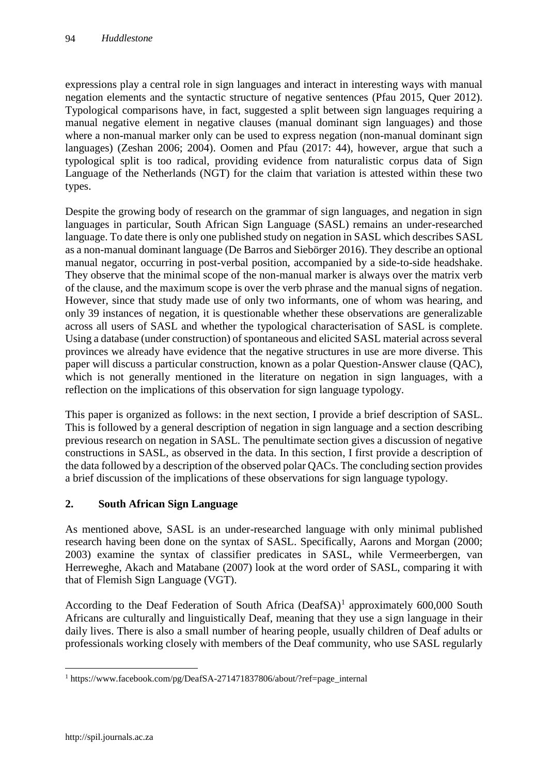expressions play a central role in sign languages and interact in interesting ways with manual negation elements and the syntactic structure of negative sentences (Pfau 2015, Quer 2012). Typological comparisons have, in fact, suggested a split between sign languages requiring a manual negative element in negative clauses (manual dominant sign languages) and those where a non-manual marker only can be used to express negation (non-manual dominant sign languages) (Zeshan 2006; 2004). Oomen and Pfau (2017: 44), however, argue that such a typological split is too radical, providing evidence from naturalistic corpus data of Sign Language of the Netherlands (NGT) for the claim that variation is attested within these two types.

Despite the growing body of research on the grammar of sign languages, and negation in sign languages in particular, South African Sign Language (SASL) remains an under-researched language. To date there is only one published study on negation in SASL which describes SASL as a non-manual dominant language (De Barros and Siebörger 2016). They describe an optional manual negator, occurring in post-verbal position, accompanied by a side-to-side headshake. They observe that the minimal scope of the non-manual marker is always over the matrix verb of the clause, and the maximum scope is over the verb phrase and the manual signs of negation. However, since that study made use of only two informants, one of whom was hearing, and only 39 instances of negation, it is questionable whether these observations are generalizable across all users of SASL and whether the typological characterisation of SASL is complete. Using a database (under construction) of spontaneous and elicited SASL material across several provinces we already have evidence that the negative structures in use are more diverse. This paper will discuss a particular construction, known as a polar Question-Answer clause (QAC), which is not generally mentioned in the literature on negation in sign languages, with a reflection on the implications of this observation for sign language typology.

This paper is organized as follows: in the next section, I provide a brief description of SASL. This is followed by a general description of negation in sign language and a section describing previous research on negation in SASL. The penultimate section gives a discussion of negative constructions in SASL, as observed in the data. In this section, I first provide a description of the data followed by a description of the observed polar QACs. The concluding section provides a brief discussion of the implications of these observations for sign language typology.

# **2. South African Sign Language**

As mentioned above, SASL is an under-researched language with only minimal published research having been done on the syntax of SASL. Specifically, Aarons and Morgan (2000; 2003) examine the syntax of classifier predicates in SASL, while Vermeerbergen, van Herreweghe, Akach and Matabane (2007) look at the word order of SASL, comparing it with that of Flemish Sign Language (VGT).

According to the Deaf Federation of South Africa  $(DeafSA)^1$  approximately 600,000 South Africans are culturally and linguistically Deaf, meaning that they use a sign language in their daily lives. There is also a small number of hearing people, usually children of Deaf adults or professionals working closely with members of the Deaf community, who use SASL regularly

 $\overline{a}$ <sup>1</sup> [https://www.facebook.com/pg/DeafSA-271471837806/about/?ref=page\\_internal](https://www.facebook.com/pg/DeafSA-271471837806/about/?ref=page_internal)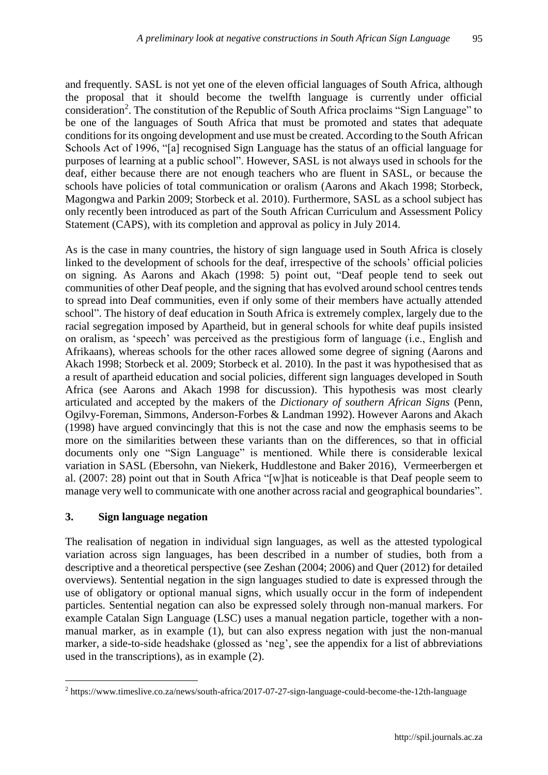and frequently. SASL is not yet one of the eleven official languages of South Africa, although the proposal that it should become the twelfth language is currently under official consideration<sup>2</sup>. The constitution of the Republic of South Africa proclaims "Sign Language" to be one of the languages of South Africa that must be promoted and states that adequate conditions for its ongoing development and use must be created. According to the South African Schools Act of 1996, "[a] recognised Sign Language has the status of an official language for purposes of learning at a public school". However, SASL is not always used in schools for the deaf, either because there are not enough teachers who are fluent in SASL, or because the schools have policies of total communication or oralism (Aarons and Akach 1998; Storbeck, Magongwa and Parkin 2009; Storbeck et al. 2010). Furthermore, SASL as a school subject has only recently been introduced as part of the South African Curriculum and Assessment Policy Statement (CAPS), with its completion and approval as policy in July 2014.

As is the case in many countries, the history of sign language used in South Africa is closely linked to the development of schools for the deaf, irrespective of the schools' official policies on signing. As Aarons and Akach (1998: 5) point out, "Deaf people tend to seek out communities of other Deaf people, and the signing that has evolved around school centres tends to spread into Deaf communities, even if only some of their members have actually attended school". The history of deaf education in South Africa is extremely complex, largely due to the racial segregation imposed by Apartheid, but in general schools for white deaf pupils insisted on oralism, as 'speech' was perceived as the prestigious form of language (i.e., English and Afrikaans), whereas schools for the other races allowed some degree of signing (Aarons and Akach 1998; Storbeck et al. 2009; Storbeck et al. 2010). In the past it was hypothesised that as a result of apartheid education and social policies, different sign languages developed in South Africa (see Aarons and Akach 1998 for discussion). This hypothesis was most clearly articulated and accepted by the makers of the *Dictionary of southern African Signs* (Penn, Ogilvy-Foreman, Simmons, Anderson-Forbes & Landman 1992). However Aarons and Akach (1998) have argued convincingly that this is not the case and now the emphasis seems to be more on the similarities between these variants than on the differences, so that in official documents only one "Sign Language" is mentioned. While there is considerable lexical variation in SASL (Ebersohn, van Niekerk, Huddlestone and Baker 2016), Vermeerbergen et al. (2007: 28) point out that in South Africa "[w]hat is noticeable is that Deaf people seem to manage very well to communicate with one another across racial and geographical boundaries".

# **3. Sign language negation**

 $\overline{a}$ 

The realisation of negation in individual sign languages, as well as the attested typological variation across sign languages, has been described in a number of studies, both from a descriptive and a theoretical perspective (see Zeshan (2004; 2006) and Quer (2012) for detailed overviews). Sentential negation in the sign languages studied to date is expressed through the use of obligatory or optional manual signs, which usually occur in the form of independent particles. Sentential negation can also be expressed solely through non-manual markers. For example Catalan Sign Language (LSC) uses a manual negation particle, together with a nonmanual marker, as in example (1), but can also express negation with just the non-manual marker, a side-to-side headshake (glossed as 'neg', see the appendix for a list of abbreviations used in the transcriptions), as in example (2).

<sup>2</sup> <https://www.timeslive.co.za/news/south-africa/2017-07-27-sign-language-could-become-the-12th-language>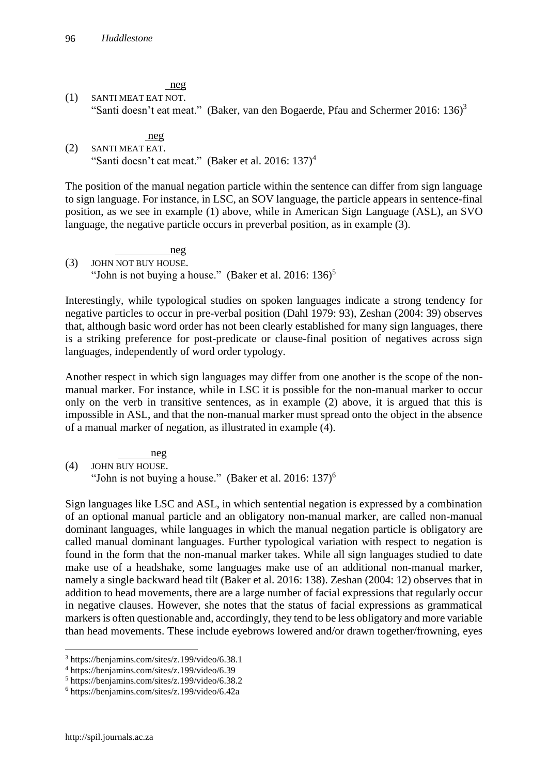neg

(1) SANTI MEAT EAT NOT. "Santi doesn't eat meat." (Baker, van den Bogaerde, Pfau and Schermer 2016:  $136$ )<sup>3</sup>

neg

(2) SANTI MEAT EAT. "Santi doesn't eat meat." (Baker et al. 2016: 137)<sup>4</sup>

The position of the manual negation particle within the sentence can differ from sign language to sign language. For instance, in LSC, an SOV language, the particle appears in sentence-final position, as we see in example (1) above, while in American Sign Language (ASL), an SVO language, the negative particle occurs in preverbal position, as in example (3).

 neg (3) JOHN NOT BUY HOUSE. "John is not buying a house." (Baker et al. 2016:  $136$ )<sup>5</sup>

Interestingly, while typological studies on spoken languages indicate a strong tendency for negative particles to occur in pre-verbal position (Dahl 1979: 93), Zeshan (2004: 39) observes that, although basic word order has not been clearly established for many sign languages, there is a striking preference for post-predicate or clause-final position of negatives across sign languages, independently of word order typology.

Another respect in which sign languages may differ from one another is the scope of the nonmanual marker. For instance, while in LSC it is possible for the non-manual marker to occur only on the verb in transitive sentences, as in example (2) above, it is argued that this is impossible in ASL, and that the non-manual marker must spread onto the object in the absence of a manual marker of negation, as illustrated in example (4).

 neg (4) JOHN BUY HOUSE. "John is not buying a house." (Baker et al.  $2016: 137$ )<sup>6</sup>

Sign languages like LSC and ASL, in which sentential negation is expressed by a combination of an optional manual particle and an obligatory non-manual marker, are called non-manual dominant languages, while languages in which the manual negation particle is obligatory are called manual dominant languages. Further typological variation with respect to negation is found in the form that the non-manual marker takes. While all sign languages studied to date make use of a headshake, some languages make use of an additional non-manual marker, namely a single backward head tilt (Baker et al. 2016: 138). Zeshan (2004: 12) observes that in addition to head movements, there are a large number of facial expressions that regularly occur in negative clauses. However, she notes that the status of facial expressions as grammatical markers is often questionable and, accordingly, they tend to be less obligatory and more variable than head movements. These include eyebrows lowered and/or drawn together/frowning, eyes

<sup>3</sup> https://benjamins.com/sites/z.199/video/6.38.1

<sup>4</sup> https://benjamins.com/sites/z.199/video/6.39

<sup>5</sup> https://benjamins.com/sites/z.199/video/6.38.2

<sup>6</sup> https://benjamins.com/sites/z.199/video/6.42a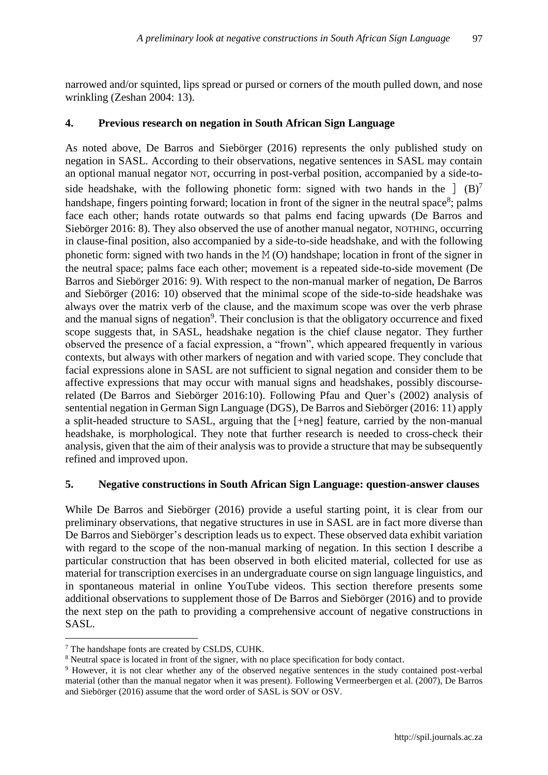narrowed and/or squinted, lips spread or pursed or corners of the mouth pulled down, and nose wrinkling (Zeshan 2004: 13).

#### **4. Previous research on negation in South African Sign Language**

As noted above, De Barros and Siebörger (2016) represents the only published study on negation in SASL. According to their observations, negative sentences in SASL may contain an optional manual negator NOT, occurring in post-verbal position, accompanied by a side-toside headshake, with the following phonetic form: signed with two hands in the  $\int$  (B)<sup>7</sup> handshape, fingers pointing forward; location in front of the signer in the neutral space<sup>8</sup>; palms face each other; hands rotate outwards so that palms end facing upwards (De Barros and Siebörger 2016: 8). They also observed the use of another manual negator, NOTHING, occurring in clause-final position, also accompanied by a side-to-side headshake, and with the following phonetic form: signed with two hands in the M (O) handshape; location in front of the signer in the neutral space; palms face each other; movement is a repeated side-to-side movement (De Barros and Siebörger 2016: 9). With respect to the non-manual marker of negation, De Barros and Siebörger (2016: 10) observed that the minimal scope of the side-to-side headshake was always over the matrix verb of the clause, and the maximum scope was over the verb phrase and the manual signs of negation<sup>9</sup>. Their conclusion is that the obligatory occurrence and fixed scope suggests that, in SASL, headshake negation is the chief clause negator. They further observed the presence of a facial expression, a "frown", which appeared frequently in various contexts, but always with other markers of negation and with varied scope. They conclude that facial expressions alone in SASL are not sufficient to signal negation and consider them to be affective expressions that may occur with manual signs and headshakes, possibly discourserelated (De Barros and Siebörger 2016:10). Following Pfau and Quer's (2002) analysis of sentential negation in German Sign Language (DGS), De Barros and Siebörger (2016: 11) apply a split-headed structure to SASL, arguing that the [+neg] feature, carried by the non-manual headshake, is morphological. They note that further research is needed to cross-check their analysis, given that the aim of their analysis was to provide a structure that may be subsequently refined and improved upon.

#### **5. Negative constructions in South African Sign Language: question-answer clauses**

While De Barros and Siebörger (2016) provide a useful starting point, it is clear from our preliminary observations, that negative structures in use in SASL are in fact more diverse than De Barros and Siebörger's description leads us to expect. These observed data exhibit variation with regard to the scope of the non-manual marking of negation. In this section I describe a particular construction that has been observed in both elicited material, collected for use as material for transcription exercises in an undergraduate course on sign language linguistics, and in spontaneous material in online YouTube videos. This section therefore presents some additional observations to supplement those of De Barros and Siebörger (2016) and to provide the next step on the path to providing a comprehensive account of negative constructions in SASL.

<sup>7</sup> The handshape fonts are created by CSLDS, CUHK.

<sup>&</sup>lt;sup>8</sup> Neutral space is located in front of the signer, with no place specification for body contact.

<sup>9</sup> However, it is not clear whether any of the observed negative sentences in the study contained post-verbal material (other than the manual negator when it was present). Following Vermeerbergen et al. (2007), De Barros and Siebörger (2016) assume that the word order of SASL is SOV or OSV.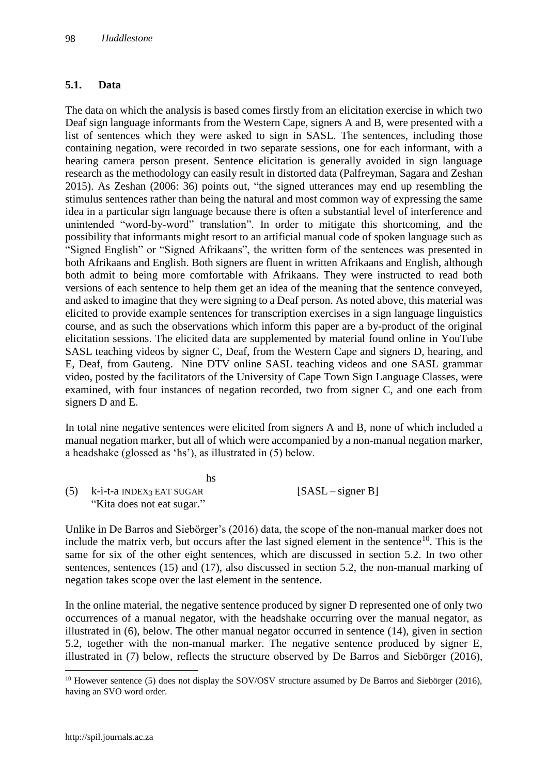#### **5.1. Data**

The data on which the analysis is based comes firstly from an elicitation exercise in which two Deaf sign language informants from the Western Cape, signers A and B, were presented with a list of sentences which they were asked to sign in SASL. The sentences, including those containing negation, were recorded in two separate sessions, one for each informant, with a hearing camera person present. Sentence elicitation is generally avoided in sign language research as the methodology can easily result in distorted data (Palfreyman, Sagara and Zeshan 2015). As Zeshan (2006: 36) points out, "the signed utterances may end up resembling the stimulus sentences rather than being the natural and most common way of expressing the same idea in a particular sign language because there is often a substantial level of interference and unintended "word-by-word" translation". In order to mitigate this shortcoming, and the possibility that informants might resort to an artificial manual code of spoken language such as "Signed English" or "Signed Afrikaans", the written form of the sentences was presented in both Afrikaans and English. Both signers are fluent in written Afrikaans and English, although both admit to being more comfortable with Afrikaans. They were instructed to read both versions of each sentence to help them get an idea of the meaning that the sentence conveyed, and asked to imagine that they were signing to a Deaf person. As noted above, this material was elicited to provide example sentences for transcription exercises in a sign language linguistics course, and as such the observations which inform this paper are a by-product of the original elicitation sessions. The elicited data are supplemented by material found online in YouTube SASL teaching videos by signer C, Deaf, from the Western Cape and signers D, hearing, and E, Deaf, from Gauteng. Nine DTV online SASL teaching videos and one SASL grammar video, posted by the facilitators of the University of Cape Town Sign Language Classes, were examined, with four instances of negation recorded, two from signer C, and one each from signers D and E.

In total nine negative sentences were elicited from signers A and B, none of which included a manual negation marker, but all of which were accompanied by a non-manual negation marker, a headshake (glossed as 'hs'), as illustrated in (5) below.

| hs                                         |                     |
|--------------------------------------------|---------------------|
| $(5)$ k-i-t-a INDEX <sub>3</sub> EAT SUGAR | $[SASL - signer B]$ |
| "Kita does not eat sugar."                 |                     |

Unlike in De Barros and Siebörger's (2016) data, the scope of the non-manual marker does not include the matrix verb, but occurs after the last signed element in the sentence<sup>10</sup>. This is the same for six of the other eight sentences, which are discussed in section 5.2. In two other sentences, sentences (15) and (17), also discussed in section 5.2, the non-manual marking of negation takes scope over the last element in the sentence.

In the online material, the negative sentence produced by signer D represented one of only two occurrences of a manual negator, with the headshake occurring over the manual negator, as illustrated in (6), below. The other manual negator occurred in sentence (14), given in section 5.2, together with the non-manual marker. The negative sentence produced by signer E, illustrated in (7) below, reflects the structure observed by De Barros and Siebörger (2016),

 $10$  However sentence (5) does not display the SOV/OSV structure assumed by De Barros and Siebörger (2016), having an SVO word order.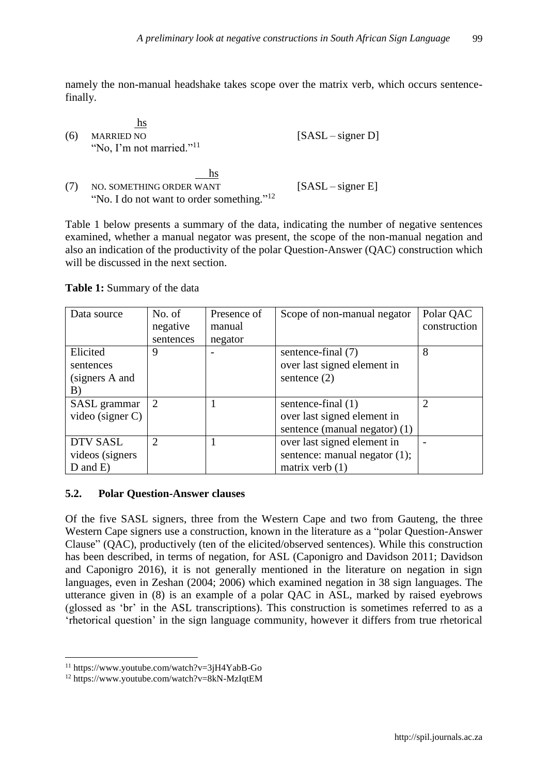namely the non-manual headshake takes scope over the matrix verb, which occurs sentencefinally.

| (6) | hs<br><b>MARRIED NO</b><br>"No, I'm not married." <sup>11</sup>                         | $[SASL - signer D]$ |
|-----|-----------------------------------------------------------------------------------------|---------------------|
|     | hs<br>NO. SOMETHING ORDER WANT<br>"No. I do not want to order something." <sup>12</sup> | $[SASL - signer E]$ |

Table 1 below presents a summary of the data, indicating the number of negative sentences examined, whether a manual negator was present, the scope of the non-manual negation and also an indication of the productivity of the polar Question-Answer (QAC) construction which will be discussed in the next section.

#### **Table 1:** Summary of the data

| Data source         | No. of         | Presence of | Scope of non-manual negator      | Polar QAC      |
|---------------------|----------------|-------------|----------------------------------|----------------|
|                     | negative       | manual      |                                  | construction   |
|                     | sentences      | negator     |                                  |                |
| Elicited            | 9              |             | sentence-final (7)               | 8              |
| sentences           |                |             | over last signed element in      |                |
| (signers A and      |                |             | sentence $(2)$                   |                |
| B)                  |                |             |                                  |                |
| SASL grammar        | 2              |             | sentence-final (1)               | $\overline{2}$ |
| video (signer $C$ ) |                |             | over last signed element in      |                |
|                     |                |             | sentence (manual negator) (1)    |                |
| <b>DTV SASL</b>     | $\mathfrak{D}$ |             | over last signed element in      |                |
| videos (signers     |                |             | sentence: manual negator $(1)$ ; |                |
| $D$ and $E$ )       |                |             | matrix verb $(1)$                |                |

#### **5.2. Polar Question-Answer clauses**

Of the five SASL signers, three from the Western Cape and two from Gauteng, the three Western Cape signers use a construction, known in the literature as a "polar Question-Answer Clause" (QAC), productively (ten of the elicited/observed sentences). While this construction has been described, in terms of negation, for ASL (Caponigro and Davidson 2011; Davidson and Caponigro 2016), it is not generally mentioned in the literature on negation in sign languages, even in Zeshan (2004; 2006) which examined negation in 38 sign languages. The utterance given in (8) is an example of a polar QAC in ASL, marked by raised eyebrows (glossed as 'br' in the ASL transcriptions). This construction is sometimes referred to as a 'rhetorical question' in the sign language community, however it differs from true rhetorical

<sup>11</sup> https://www.youtube.com/watch?v=3jH4YabB-Go

<sup>12</sup> https://www.youtube.com/watch?v=8kN-MzIqtEM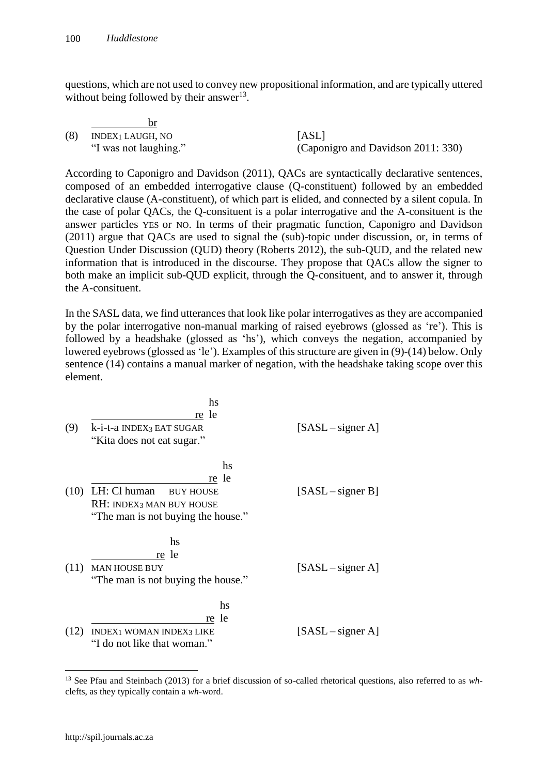questions, which are not used to convey new propositional information, and are typically uttered without being followed by their answer $^{13}$ .

| (8) | INDEX1 LAUGH, NO      | [ASL]                              |
|-----|-----------------------|------------------------------------|
|     | "I was not laughing." | (Caponigro and Davidson 2011: 330) |

According to Caponigro and Davidson (2011), QACs are syntactically declarative sentences, composed of an embedded interrogative clause (Q-constituent) followed by an embedded declarative clause (A-constituent), of which part is elided, and connected by a silent copula. In the case of polar QACs, the Q-consituent is a polar interrogative and the A-consituent is the answer particles YES or NO. In terms of their pragmatic function, Caponigro and Davidson (2011) argue that QACs are used to signal the (sub)-topic under discussion, or, in terms of Question Under Discussion (QUD) theory (Roberts 2012), the sub-QUD, and the related new information that is introduced in the discourse. They propose that QACs allow the signer to both make an implicit sub-QUD explicit, through the Q-consituent, and to answer it, through the A-consituent.

In the SASL data, we find utterances that look like polar interrogatives as they are accompanied by the polar interrogative non-manual marking of raised eyebrows (glossed as 're'). This is followed by a headshake (glossed as 'hs'), which conveys the negation, accompanied by lowered eyebrows (glossed as 'le'). Examples of this structure are given in (9)-(14) below. Only sentence (14) contains a manual marker of negation, with the headshake taking scope over this element.

|      | hs                                 |                     |
|------|------------------------------------|---------------------|
|      | re le                              |                     |
| (9)  | k-i-t-a INDEX3 EAT SUGAR           | $[SASL - signer A]$ |
|      | "Kita does not eat sugar."         |                     |
|      | hs                                 |                     |
|      | re le                              |                     |
| (10) | LH: Cl human<br><b>BUY HOUSE</b>   | $[SASL - signer B]$ |
|      | RH: INDEX3 MAN BUY HOUSE           |                     |
|      | "The man is not buying the house." |                     |
|      | hs                                 |                     |
|      | re le                              |                     |
| (11) | <b>MAN HOUSE BUY</b>               | $[SASL - signer A]$ |
|      | "The man is not buying the house." |                     |
|      | hs                                 |                     |
|      | re le                              |                     |
| (12) | INDEX1 WOMAN INDEX3 LIKE           | $[SASL - signer A]$ |
|      | "I do not like that woman."        |                     |
|      |                                    |                     |

<sup>13</sup> See Pfau and Steinbach (2013) for a brief discussion of so-called rhetorical questions, also referred to as *wh*clefts, as they typically contain a *wh*-word.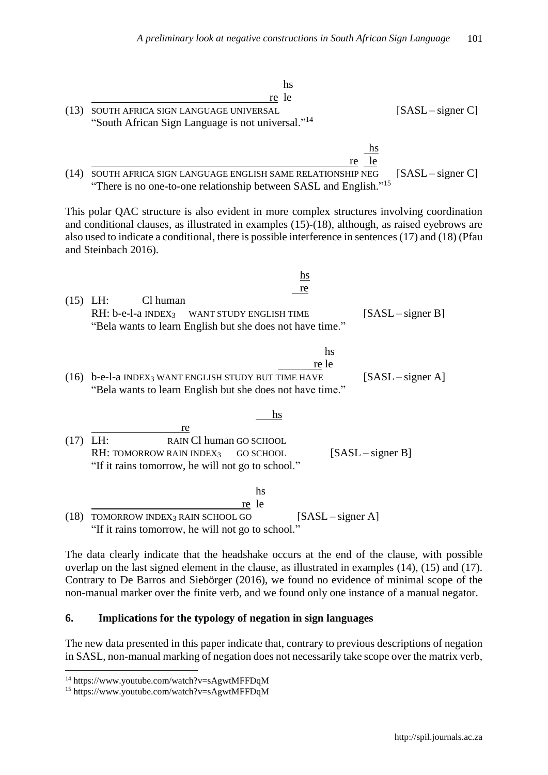|            | hs<br>re le                                                                                                                                                                                                                                                                                                                   |
|------------|-------------------------------------------------------------------------------------------------------------------------------------------------------------------------------------------------------------------------------------------------------------------------------------------------------------------------------|
| (13)       | $[SASL - signer C]$<br>SOUTH AFRICA SIGN LANGUAGE UNIVERSAL<br>"South African Sign Language is not universal." <sup>14</sup>                                                                                                                                                                                                  |
|            | $\frac{hs}{ }$<br>le<br>re<br>(14) SOUTH AFRICA SIGN LANGUAGE ENGLISH SAME RELATIONSHIP NEG<br>$[SASL - signer C]$<br>"There is no one-to-one relationship between SASL and English." <sup>15</sup>                                                                                                                           |
|            | This polar QAC structure is also evident in more complex structures involving coordination<br>and conditional clauses, as illustrated in examples (15)-(18), although, as raised eyebrows are<br>also used to indicate a conditional, there is possible interference in sentences (17) and (18) (Pfau<br>and Steinbach 2016). |
|            | $\underline{\mathbf{h}}$ s                                                                                                                                                                                                                                                                                                    |
| $(15)$ LH: | re<br>Cl human<br>$RH: b-e-l-a$ INDEX <sub>3</sub><br>$[SASL - signer B]$<br>WANT STUDY ENGLISH TIME<br>"Bela wants to learn English but she does not have time."                                                                                                                                                             |
|            | hs<br>re le<br>(16) b-e-l-a INDEX <sub>3</sub> WANT ENGLISH STUDY BUT TIME HAVE<br>$[SASL - signer A]$<br>"Bela wants to learn English but she does not have time."                                                                                                                                                           |
| $(17)$ LH: | <u>hs</u><br>re<br>RAIN Cl human GO SCHOOL<br>$[SASL - signer B]$<br>RH: TOMORROW RAIN INDEX3<br><b>GO SCHOOL</b><br>"If it rains tomorrow, he will not go to school."                                                                                                                                                        |
|            | hs<br>re le<br>$[SASL - signer A]$<br>(18) TOMORROW INDEX <sub>3</sub> RAIN SCHOOL GO<br>"If it rains tomorrow, he will not go to school."                                                                                                                                                                                    |

The data clearly indicate that the headshake occurs at the end of the clause, with possible overlap on the last signed element in the clause, as illustrated in examples (14), (15) and (17). Contrary to De Barros and Siebörger (2016), we found no evidence of minimal scope of the non-manual marker over the finite verb, and we found only one instance of a manual negator.

#### **6. Implications for the typology of negation in sign languages**

The new data presented in this paper indicate that, contrary to previous descriptions of negation in SASL, non-manual marking of negation does not necessarily take scope over the matrix verb,

<sup>14</sup> https://www.youtube.com/watch?v=sAgwtMFFDqM

<sup>15</sup> https://www.youtube.com/watch?v=sAgwtMFFDqM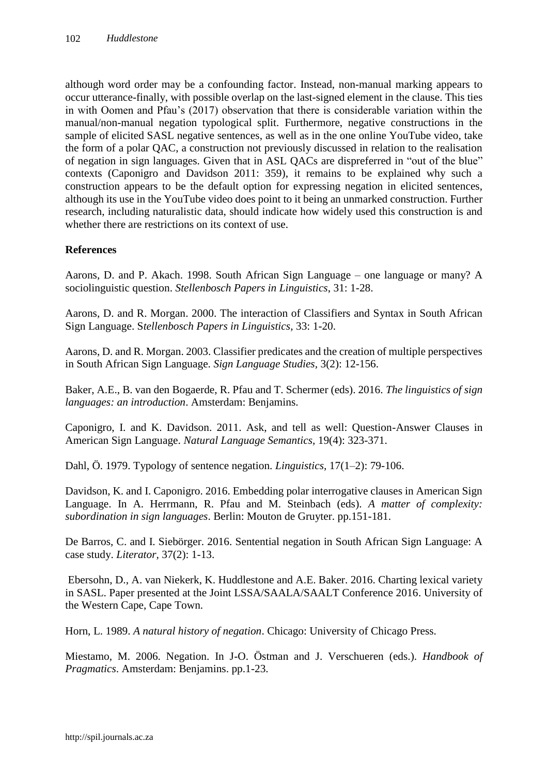although word order may be a confounding factor. Instead, non-manual marking appears to occur utterance-finally, with possible overlap on the last-signed element in the clause. This ties in with Oomen and Pfau's (2017) observation that there is considerable variation within the manual/non-manual negation typological split. Furthermore, negative constructions in the sample of elicited SASL negative sentences, as well as in the one online YouTube video, take the form of a polar QAC, a construction not previously discussed in relation to the realisation of negation in sign languages. Given that in ASL QACs are dispreferred in "out of the blue" contexts (Caponigro and Davidson 2011: 359), it remains to be explained why such a construction appears to be the default option for expressing negation in elicited sentences, although its use in the YouTube video does point to it being an unmarked construction. Further research, including naturalistic data, should indicate how widely used this construction is and whether there are restrictions on its context of use.

# **References**

Aarons, D. and P. Akach. 1998. South African Sign Language – one language or many? A sociolinguistic question. *Stellenbosch Papers in Linguistics*, 31: 1-28.

Aarons, D. and R. Morgan. 2000. The interaction of Classifiers and Syntax in South African Sign Language. S*tellenbosch Papers in Linguistics*, 33: 1-20.

Aarons, D. and R. Morgan. 2003. Classifier predicates and the creation of multiple perspectives in South African Sign Language. *Sign Language Studies,* 3(2): 12-156.

Baker, A.E., B. van den Bogaerde, R. Pfau and T. Schermer (eds). 2016. *The linguistics of sign languages: an introduction*. Amsterdam: Benjamins.

Caponigro, I. and K. Davidson. 2011. Ask, and tell as well: Question-Answer Clauses in American Sign Language. *Natural Language Semantics,* 19(4): 323-371.

Dahl, Ö. 1979. Typology of sentence negation. *Linguistics,* 17(1–2): 79-106.

Davidson, K. and I. Caponigro. 2016. Embedding polar interrogative clauses in American Sign Language. In A. Herrmann, R. Pfau and M. Steinbach (eds). *A matter of complexity: subordination in sign languages*. Berlin: Mouton de Gruyter. pp.151-181.

De Barros, C. and I. Siebörger. 2016. Sentential negation in South African Sign Language: A case study. *Literator,* 37(2): 1-13.

Ebersohn, D., A. van Niekerk, K. Huddlestone and A.E. Baker. 2016. Charting lexical variety in SASL. Paper presented at the Joint LSSA/SAALA/SAALT Conference 2016. University of the Western Cape, Cape Town.

Horn, L. 1989. *A natural history of negation*. Chicago: University of Chicago Press.

Miestamo, M. 2006. Negation. In J-O. Östman and J. Verschueren (eds.). *Handbook of Pragmatics*. Amsterdam: Benjamins. pp.1-23.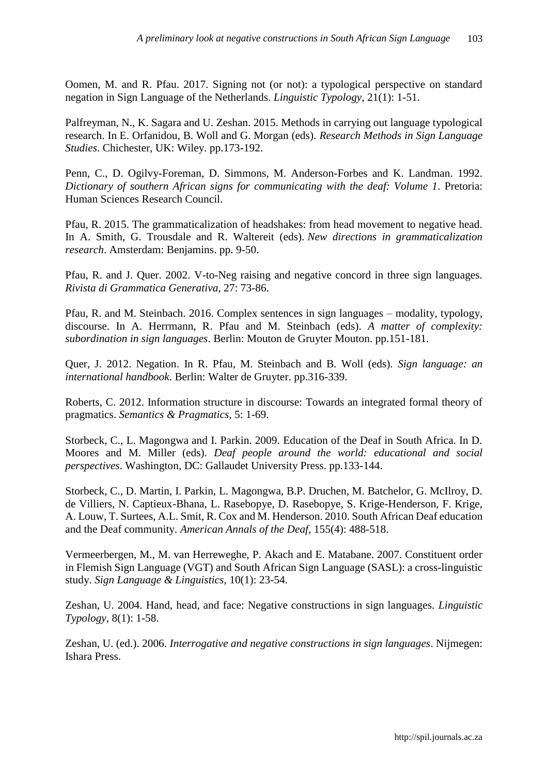Oomen, M. and R. Pfau. 2017. Signing not (or not): a typological perspective on standard negation in Sign Language of the Netherlands. *Linguistic Typology,* 21(1): 1-51.

Palfreyman, N., K. Sagara and U. Zeshan. 2015. Methods in carrying out language typological research. In E. Orfanidou, B. Woll and G. Morgan (eds). *Research Methods in Sign Language Studies*. Chichester, UK: Wiley. pp.173-192.

Penn, C., D. Ogilvy-Foreman, D. Simmons, M. Anderson-Forbes and K. Landman. 1992. *Dictionary of southern African signs for communicating with the deaf: Volume 1*. Pretoria: Human Sciences Research Council.

Pfau, R. 2015. The grammaticalization of headshakes: from head movement to negative head. In A. Smith, G. Trousdale and R. Waltereit (eds). *New directions in grammaticalization research*. Amsterdam: Benjamins. pp. 9-50.

Pfau, R. and J. Quer. 2002. V-to-Neg raising and negative concord in three sign languages. *Rivista di Grammatica Generativa,* 27: 73-86.

Pfau, R. and M. Steinbach. 2016. Complex sentences in sign languages – modality, typology, discourse. In A. Herrmann, R. Pfau and M. Steinbach (eds). *A matter of complexity: subordination in sign languages*. Berlin: Mouton de Gruyter Mouton. pp.151-181.

Quer, J. 2012. Negation. In R. Pfau, M. Steinbach and B. Woll (eds). *Sign language: an international handbook*. Berlin: Walter de Gruyter. pp.316-339.

Roberts, C. 2012. Information structure in discourse: Towards an integrated formal theory of pragmatics. *Semantics & Pragmatics,* 5: 1-69.

Storbeck, C., L. Magongwa and I. Parkin. 2009. Education of the Deaf in South Africa. In D. Moores and M. Miller (eds). *Deaf people around the world: educational and social perspectives*. Washington, DC: Gallaudet University Press. pp.133-144.

Storbeck, C., D. Martin, I. Parkin, L. Magongwa, B.P. Druchen, M. Batchelor, G. McIlroy, D. de Villiers, N. Captieux-Bhana, L. Rasebopye, D. Rasebopye, S. Krige-Henderson, F. Krige, A. Louw, T. Surtees, A.L. Smit, R. Cox and M. Henderson. 2010. South African Deaf education and the Deaf community. *American Annals of the Deaf,* 155(4): 488-518.

Vermeerbergen, M., M. van Herreweghe, P. Akach and E. Matabane. 2007. Constituent order in Flemish Sign Language (VGT) and South African Sign Language (SASL): a cross-linguistic study. *Sign Language & Linguistics,* 10(1): 23-54.

Zeshan, U. 2004. Hand, head, and face: Negative constructions in sign languages. *Linguistic Typology,* 8(1): 1-58.

Zeshan, U. (ed.). 2006. *Interrogative and negative constructions in sign languages*. Nijmegen: Ishara Press.